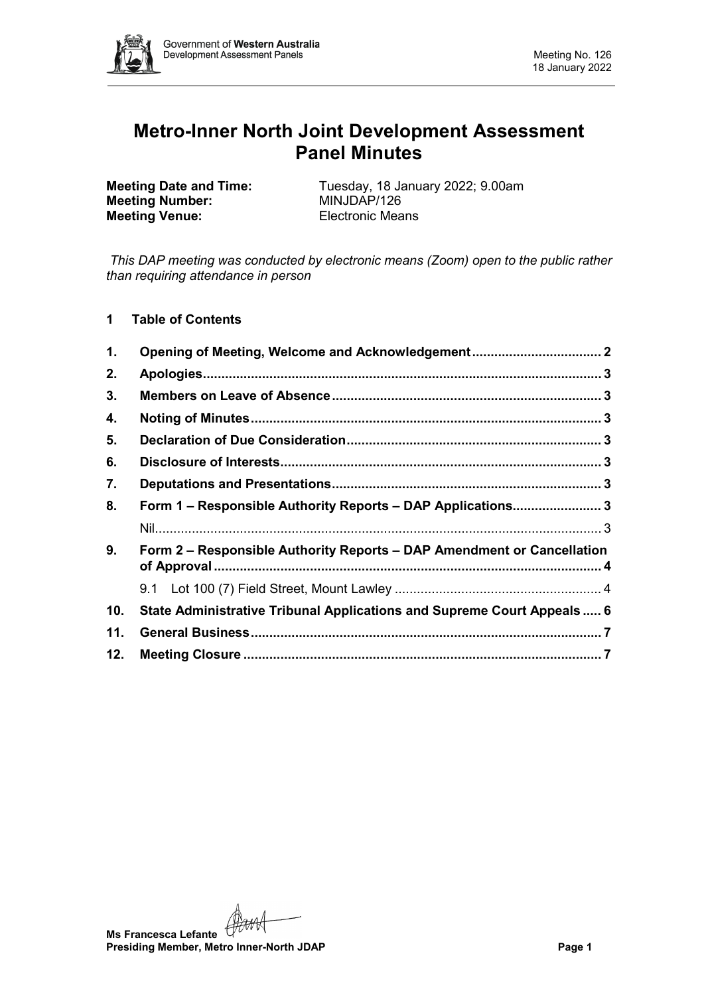

# **Metro-Inner North Joint Development Assessment Panel Minutes**

**Meeting Number: Meeting Venue:** Electronic Means

**Meeting Date and Time:** Tuesday, 18 January 2022; 9.00am<br> **Meeting Number:** MINJDAP/126

*This DAP meeting was conducted by electronic means (Zoom) open to the public rather than requiring attendance in person*

**1 Table of Contents**

| $\mathbf 1$ . | Opening of Meeting, Welcome and Acknowledgement 2                       |  |
|---------------|-------------------------------------------------------------------------|--|
| 2.            |                                                                         |  |
| 3.            |                                                                         |  |
| 4.            |                                                                         |  |
| 5.            |                                                                         |  |
| 6.            |                                                                         |  |
| 7.            |                                                                         |  |
| 8.            | Form 1 - Responsible Authority Reports - DAP Applications 3             |  |
|               |                                                                         |  |
| 9.            | Form 2 – Responsible Authority Reports – DAP Amendment or Cancellation  |  |
|               |                                                                         |  |
| 10.           | State Administrative Tribunal Applications and Supreme Court Appeals  6 |  |
| 11.           |                                                                         |  |
| 12.           |                                                                         |  |

**Ms Francesca Lefante Presiding Member, Metro Inner-North JDAP Page 1**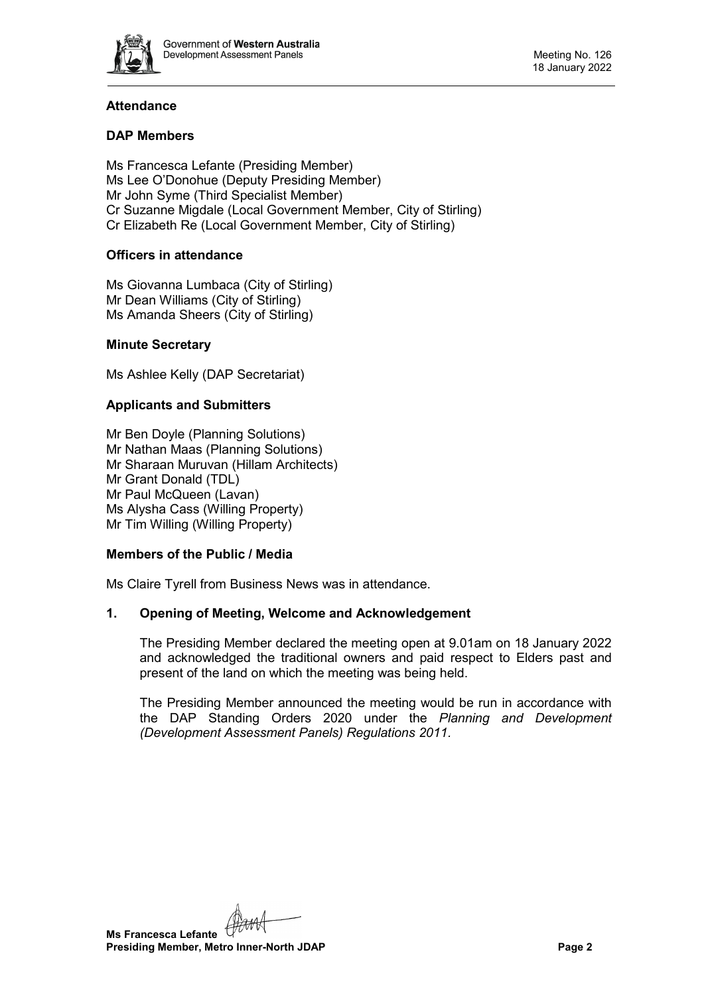

# **Attendance**

# **DAP Members**

Ms Francesca Lefante (Presiding Member) Ms Lee O'Donohue (Deputy Presiding Member) Mr John Syme (Third Specialist Member) Cr Suzanne Migdale (Local Government Member, City of Stirling) Cr Elizabeth Re (Local Government Member, City of Stirling)

# **Officers in attendance**

Ms Giovanna Lumbaca (City of Stirling) Mr Dean Williams (City of Stirling) Ms Amanda Sheers (City of Stirling)

#### **Minute Secretary**

Ms Ashlee Kelly (DAP Secretariat)

# **Applicants and Submitters**

Mr Ben Doyle (Planning Solutions) Mr Nathan Maas (Planning Solutions) Mr Sharaan Muruvan (Hillam Architects) Mr Grant Donald (TDL) Mr Paul McQueen (Lavan) Ms Alysha Cass (Willing Property) Mr Tim Willing (Willing Property)

#### **Members of the Public / Media**

<span id="page-1-0"></span>Ms Claire Tyrell from Business News was in attendance.

# **1. Opening of Meeting, Welcome and Acknowledgement**

The Presiding Member declared the meeting open at 9.01am on 18 January 2022 and acknowledged the traditional owners and paid respect to Elders past and present of the land on which the meeting was being held.

The Presiding Member announced the meeting would be run in accordance with the DAP Standing Orders 2020 under the *Planning and Development (Development Assessment Panels) Regulations 2011.*

**Ms Francesca Lefante Presiding Member, Metro Inner-North JDAP Page 2**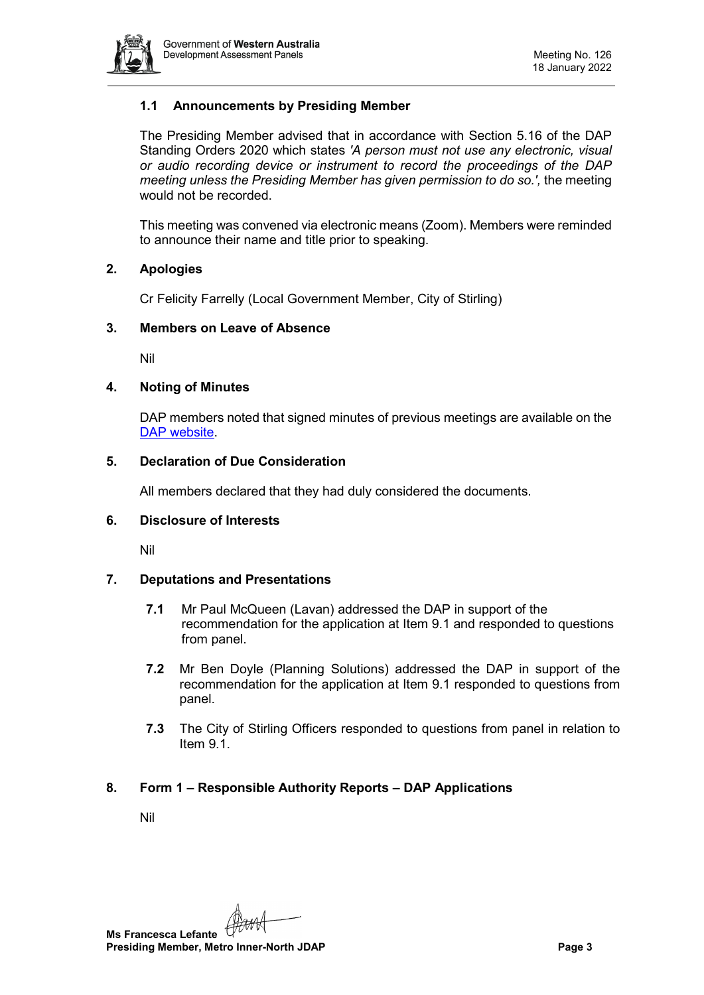

# **1.1 Announcements by Presiding Member**

The Presiding Member advised that in accordance with Section 5.16 of the DAP Standing Orders 2020 which states *'A person must not use any electronic, visual or audio recording device or instrument to record the proceedings of the DAP meeting unless the Presiding Member has given permission to do so.',* the meeting would not be recorded.

This meeting was convened via electronic means (Zoom). Members were reminded to announce their name and title prior to speaking.

#### <span id="page-2-0"></span>**2. Apologies**

Cr Felicity Farrelly (Local Government Member, City of Stirling)

#### <span id="page-2-1"></span>**3. Members on Leave of Absence**

Nil

#### <span id="page-2-2"></span>**4. Noting of Minutes**

DAP members noted that signed minutes of previous meetings are available on the [DAP website.](https://www.dplh.wa.gov.au/about/development-assessment-panels/daps-agendas-and-minutes)

#### <span id="page-2-3"></span>**5. Declaration of Due Consideration**

All members declared that they had duly considered the documents.

#### <span id="page-2-4"></span>**6. Disclosure of Interests**

Nil

# <span id="page-2-5"></span>**7. Deputations and Presentations**

- **7.1** Mr Paul McQueen (Lavan) addressed the DAP in support of the recommendation for the application at Item 9.1 and responded to questions from panel.
- **7.2** Mr Ben Doyle (Planning Solutions) addressed the DAP in support of the recommendation for the application at Item 9.1 responded to questions from panel.
- **7.3** The City of Stirling Officers responded to questions from panel in relation to Item 9.1.

# <span id="page-2-7"></span><span id="page-2-6"></span>**8. Form 1 – Responsible Authority Reports – DAP Applications**

Nil

**Ms Francesca Lefante Presiding Member, Metro Inner-North JDAP Page 3**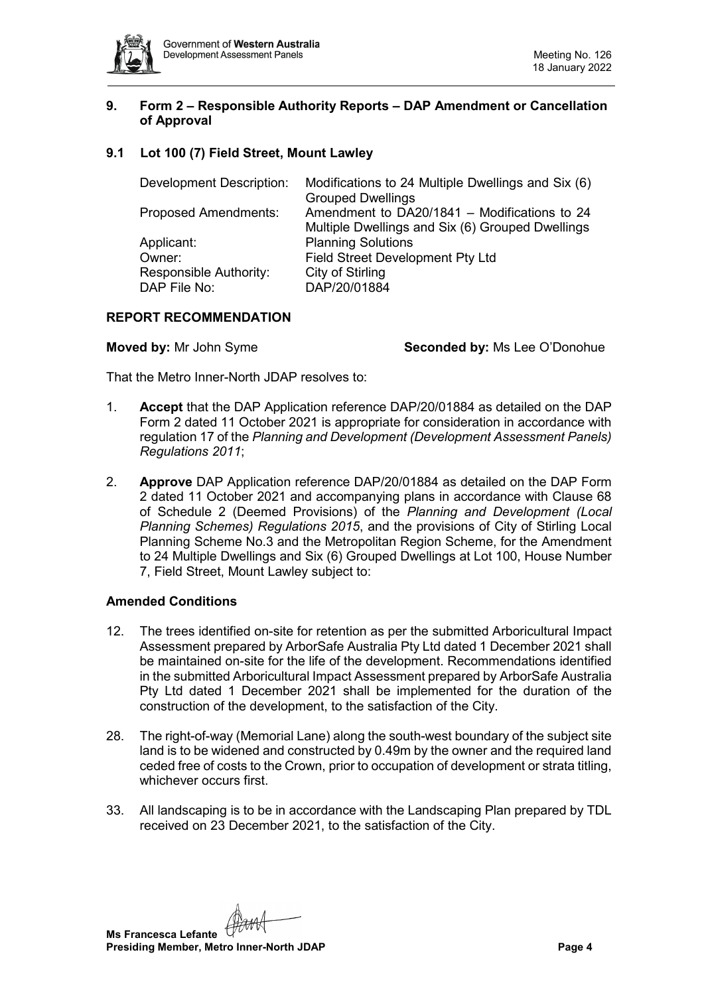

## <span id="page-3-0"></span>**9. Form 2 – Responsible Authority Reports – DAP Amendment or Cancellation of Approval**

# <span id="page-3-1"></span>**9.1 Lot 100 (7) Field Street, Mount Lawley**

| Modifications to 24 Multiple Dwellings and Six (6) |
|----------------------------------------------------|
| <b>Grouped Dwellings</b>                           |
| Amendment to DA20/1841 - Modifications to 24       |
| Multiple Dwellings and Six (6) Grouped Dwellings   |
| <b>Planning Solutions</b>                          |
| <b>Field Street Development Pty Ltd</b>            |
| City of Stirling                                   |
| DAP/20/01884                                       |
|                                                    |

# **REPORT RECOMMENDATION**

**Moved by:** Mr John Syme **Seconded by:** Ms Lee O'Donohue

That the Metro Inner-North JDAP resolves to:

- 1. **Accept** that the DAP Application reference DAP/20/01884 as detailed on the DAP Form 2 dated 11 October 2021 is appropriate for consideration in accordance with regulation 17 of the *Planning and Development (Development Assessment Panels) Regulations 2011*;
- 2. **Approve** DAP Application reference DAP/20/01884 as detailed on the DAP Form 2 dated 11 October 2021 and accompanying plans in accordance with Clause 68 of Schedule 2 (Deemed Provisions) of the *Planning and Development (Local Planning Schemes) Regulations 2015*, and the provisions of City of Stirling Local Planning Scheme No.3 and the Metropolitan Region Scheme, for the Amendment to 24 Multiple Dwellings and Six (6) Grouped Dwellings at Lot 100, House Number 7, Field Street, Mount Lawley subject to:

# **Amended Conditions**

- 12. The trees identified on-site for retention as per the submitted Arboricultural Impact Assessment prepared by ArborSafe Australia Pty Ltd dated 1 December 2021 shall be maintained on-site for the life of the development. Recommendations identified in the submitted Arboricultural Impact Assessment prepared by ArborSafe Australia Pty Ltd dated 1 December 2021 shall be implemented for the duration of the construction of the development, to the satisfaction of the City.
- 28. The right-of-way (Memorial Lane) along the south-west boundary of the subject site land is to be widened and constructed by 0.49m by the owner and the required land ceded free of costs to the Crown, prior to occupation of development or strata titling, whichever occurs first.
- 33. All landscaping is to be in accordance with the Landscaping Plan prepared by TDL received on 23 December 2021, to the satisfaction of the City.

**Ms Francesca Lefante Presiding Member, Metro Inner-North JDAP Page 4**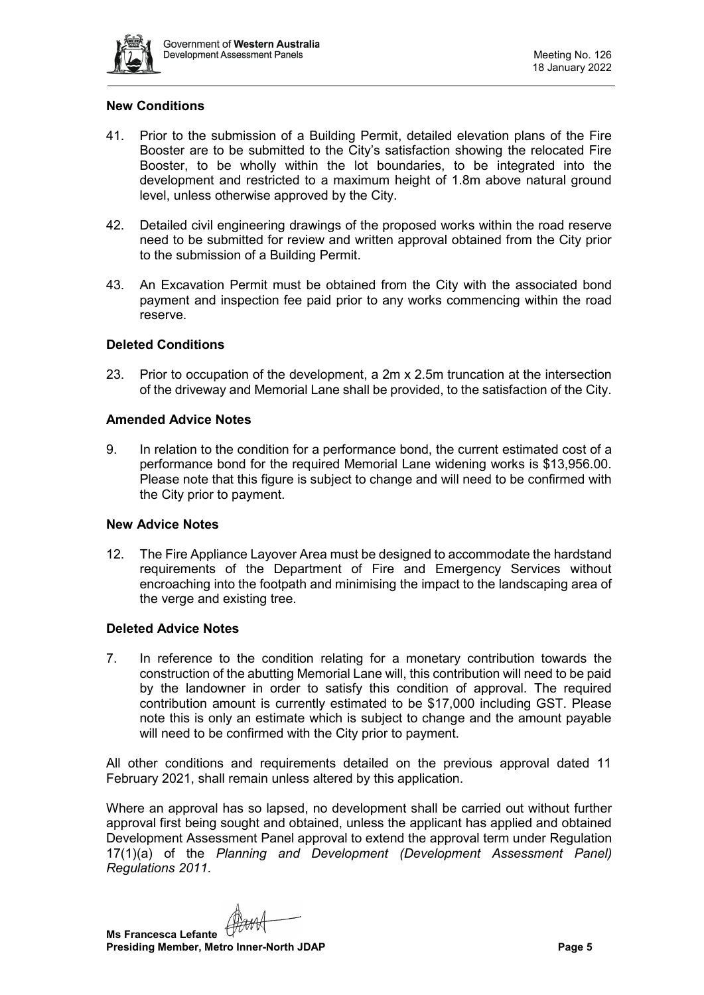

## **New Conditions**

- 41. Prior to the submission of a Building Permit, detailed elevation plans of the Fire Booster are to be submitted to the City's satisfaction showing the relocated Fire Booster, to be wholly within the lot boundaries, to be integrated into the development and restricted to a maximum height of 1.8m above natural ground level, unless otherwise approved by the City.
- 42. Detailed civil engineering drawings of the proposed works within the road reserve need to be submitted for review and written approval obtained from the City prior to the submission of a Building Permit.
- 43. An Excavation Permit must be obtained from the City with the associated bond payment and inspection fee paid prior to any works commencing within the road reserve.

#### **Deleted Conditions**

23. Prior to occupation of the development, a 2m x 2.5m truncation at the intersection of the driveway and Memorial Lane shall be provided, to the satisfaction of the City.

#### **Amended Advice Notes**

9. In relation to the condition for a performance bond, the current estimated cost of a performance bond for the required Memorial Lane widening works is \$13,956.00. Please note that this figure is subject to change and will need to be confirmed with the City prior to payment.

#### **New Advice Notes**

12. The Fire Appliance Layover Area must be designed to accommodate the hardstand requirements of the Department of Fire and Emergency Services without encroaching into the footpath and minimising the impact to the landscaping area of the verge and existing tree.

#### **Deleted Advice Notes**

7. In reference to the condition relating for a monetary contribution towards the construction of the abutting Memorial Lane will, this contribution will need to be paid by the landowner in order to satisfy this condition of approval. The required contribution amount is currently estimated to be \$17,000 including GST. Please note this is only an estimate which is subject to change and the amount payable will need to be confirmed with the City prior to payment.

All other conditions and requirements detailed on the previous approval dated 11 February 2021, shall remain unless altered by this application.

Where an approval has so lapsed, no development shall be carried out without further approval first being sought and obtained, unless the applicant has applied and obtained Development Assessment Panel approval to extend the approval term under Regulation 17(1)(a) of the *Planning and Development (Development Assessment Panel) Regulations 2011*.

**Ms Francesca Lefante Presiding Member, Metro Inner-North JDAP Page 5**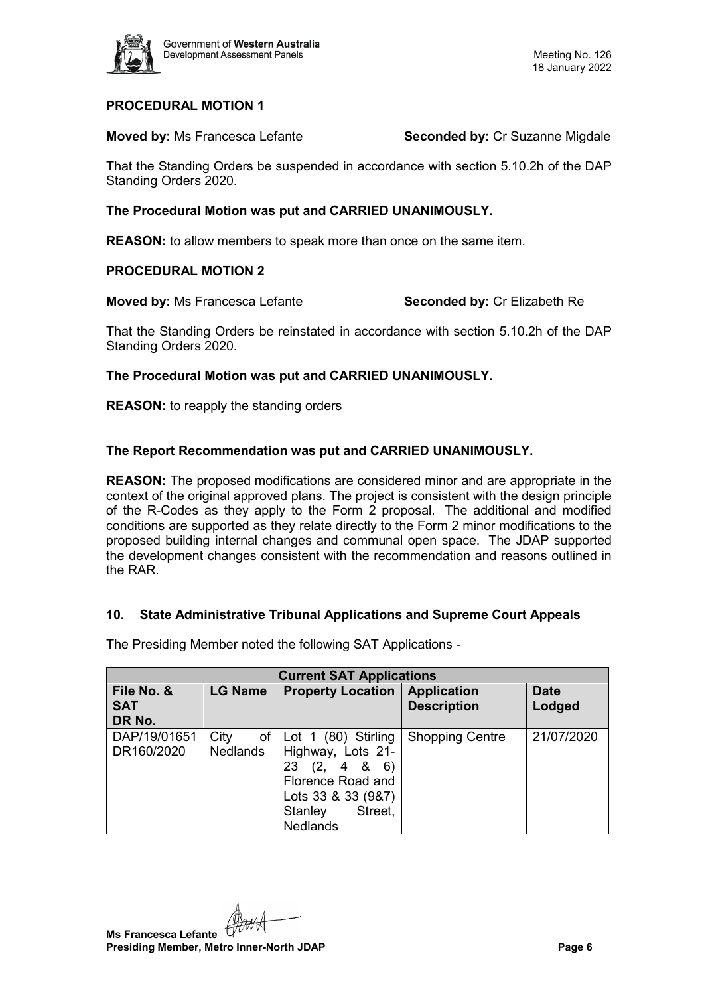

## **PROCEDURAL MOTION 1**

**Moved by:** Ms Francesca Lefante **Seconded by:** Cr Suzanne Migdale

That the Standing Orders be suspended in accordance with section 5.10.2h of the DAP Standing Orders 2020.

#### **The Procedural Motion was put and CARRIED UNANIMOUSLY.**

**REASON:** to allow members to speak more than once on the same item.

#### **PROCEDURAL MOTION 2**

**Moved by:** Ms Francesca Lefante **Seconded by:** Cr Elizabeth Re

That the Standing Orders be reinstated in accordance with section 5.10.2h of the DAP Standing Orders 2020.

#### **The Procedural Motion was put and CARRIED UNANIMOUSLY.**

**REASON:** to reapply the standing orders

# **The Report Recommendation was put and CARRIED UNANIMOUSLY.**

**REASON:** The proposed modifications are considered minor and are appropriate in the context of the original approved plans. The project is consistent with the design principle of the R-Codes as they apply to the Form 2 proposal. The additional and modified conditions are supported as they relate directly to the Form 2 minor modifications to the proposed building internal changes and communal open space. The JDAP supported the development changes consistent with the recommendation and reasons outlined in the RAR.

# <span id="page-5-0"></span>**10. State Administrative Tribunal Applications and Supreme Court Appeals**

The Presiding Member noted the following SAT Applications -

| <b>Current SAT Applications</b>    |                               |                                                                                                                                                                        |                                          |                       |  |  |  |
|------------------------------------|-------------------------------|------------------------------------------------------------------------------------------------------------------------------------------------------------------------|------------------------------------------|-----------------------|--|--|--|
| File No. &<br><b>SAT</b><br>DR No. | <b>LG Name</b>                | <b>Property Location</b>                                                                                                                                               | <b>Application</b><br><b>Description</b> | <b>Date</b><br>Lodged |  |  |  |
| DAP/19/01651<br>DR160/2020         | City<br>of<br><b>Nedlands</b> | Lot 1 (80) Stirling<br>Highway, Lots 21-<br>(2,<br>23<br>4<br>8 <sup>8</sup><br>6)<br>Florence Road and<br>Lots 33 & 33 (9&7)<br>Street.<br>Stanley<br><b>Nedlands</b> | <b>Shopping Centre</b>                   | 21/07/2020            |  |  |  |

**Ms Francesca Lefante Presiding Member, Metro Inner-North JDAP Page 6**